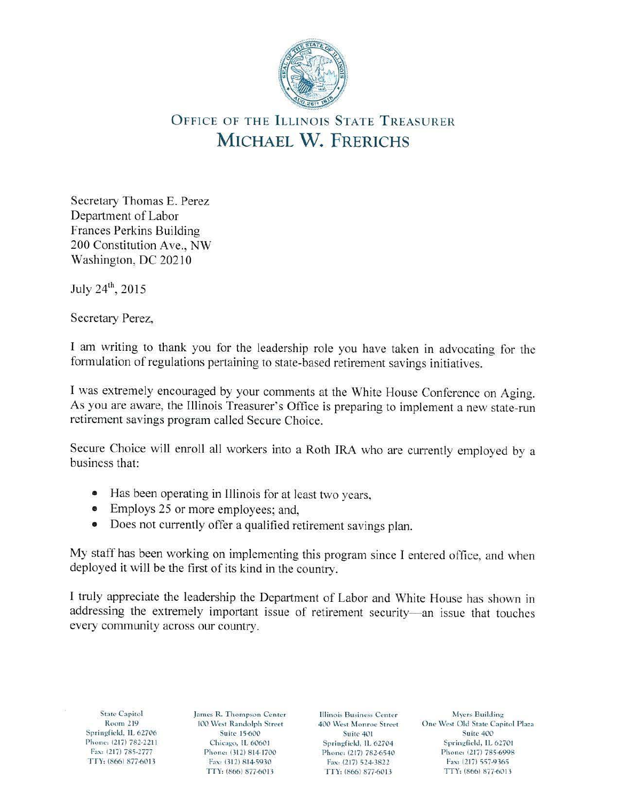

## OFFICE OF THE ILLINOIS STATE TREASURER **MICHAEL W. FRERICHS**

Secretary Thomas E. Perez Department of Labor Frances Perkins Building 200 Constitution Ave., NW Washington, DC 20210

July 24<sup>th</sup>, 2015

Secretary Perez,

I am writing to thank you for the leadership role you have taken in advocating for the formulation of regulations pertaining to state-based retirement savings initiatives.

I was extremely encouraged by your comments at the White House Conference on Aging. As you are aware, the Illinois Treasurer's Office is preparing to implement a new state-run retirement savings program called Secure Choice.

Secure Choice will enroll all workers into a Roth IRA who are currently employed by a business that:

- Has been operating in Illinois for at least two years,
- Employs 25 or more employees; and,
- Does not currently offer a qualified retirement savings plan.

My staff has been working on implementing this program since I entered office, and when deployed it will be the first of its kind in the country.

I truly appreciate the leadership the Department of Labor and White House has shown in addressing the extremely important issue of retirement security-an issue that touches every community across our country.

State Capitol James R. Thompson Center Illinois Business Center Myers Building<br>Room 219 100 West Randolph Street 400 West Monroe Street One West Old State Capi Springfield, IL 62706 Suite 15-600 Suite 401 Fax: (217) 785-2777 Phone: (312) 814-1700 Phone: (217) 782-6540 Phone: (217) 785-699<br>TTY: (866) 877-6013 Fax: (312) 814-5930 Fax: (217) 524-3822 Fax: (217) 557-9365

Fax: (217) 524-3822

100 West Randolph Street 400 West Monroe Street One West Old State Capitol Plaza<br>Suite 401 Suite 401 Suite 400 Phone: (217) 782-2211 Chicago, IL 60601 Springfield, IL 62704 Springfield, IL 62701<br>Fax: (217) 785-2777 Phone: (312) 814-1700 Phone: (217) 782-6540 Phone: (217) 785-6998 TIY, (866) 877-6013 TIY: (866) 877-6013 TIY: (866) 877-6011